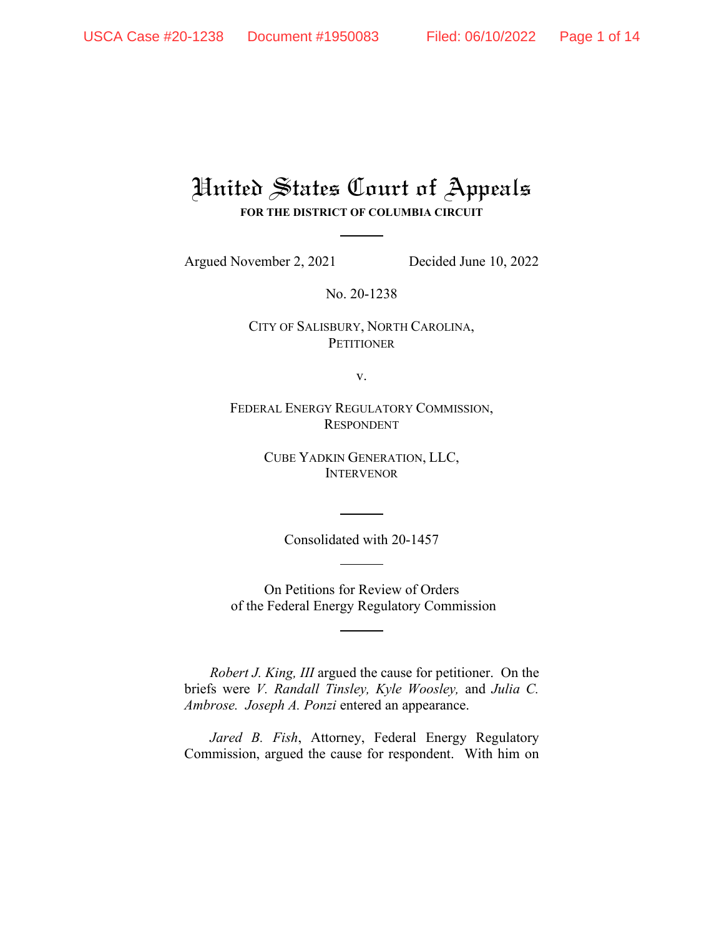# United States Court of Appeals **FOR THE DISTRICT OF COLUMBIA CIRCUIT**

Argued November 2, 2021 Decided June 10, 2022

No. 20-1238

CITY OF SALISBURY, NORTH CAROLINA, **PETITIONER** 

v.

FEDERAL ENERGY REGULATORY COMMISSION, RESPONDENT

> CUBE YADKIN GENERATION, LLC, **INTERVENOR**

> > Consolidated with 20-1457

On Petitions for Review of Orders of the Federal Energy Regulatory Commission

*Robert J. King, III* argued the cause for petitioner. On the briefs were *V. Randall Tinsley, Kyle Woosley,* and *Julia C. Ambrose. Joseph A. Ponzi* entered an appearance.

*Jared B. Fish*, Attorney, Federal Energy Regulatory Commission, argued the cause for respondent. With him on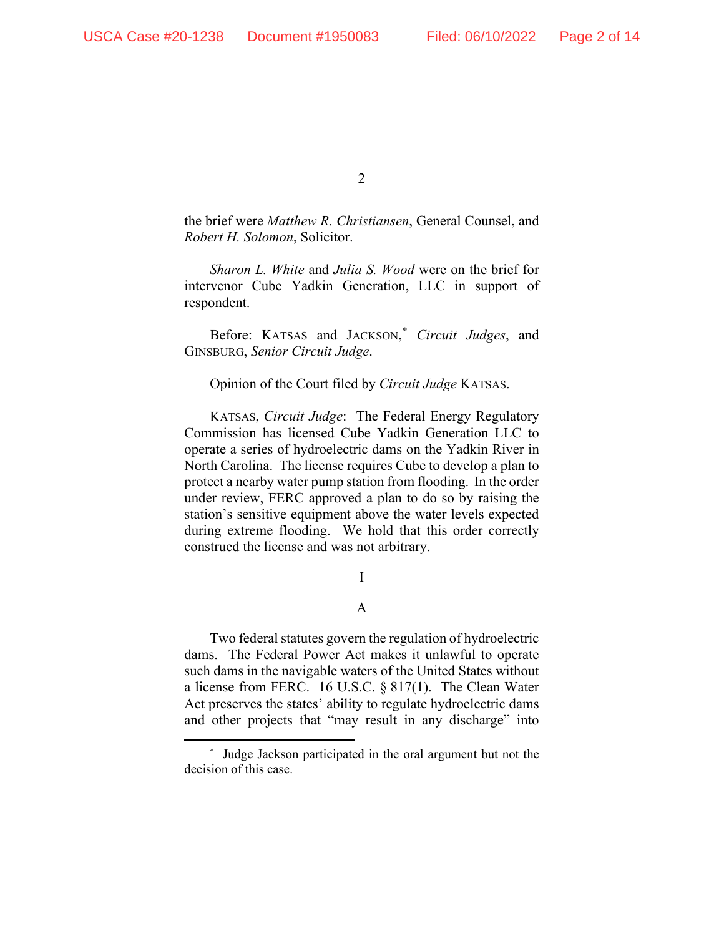the brief were *Matthew R. Christiansen*, General Counsel, and *Robert H. Solomon*, Solicitor.

*Sharon L. White* and *Julia S. Wood* were on the brief for intervenor Cube Yadkin Generation, LLC in support of respondent.

Before: KATSAS and JACKSON, [\\*](#page-1-0) *Circuit Judges*, and GINSBURG, *Senior Circuit Judge*.

Opinion of the Court filed by *Circuit Judge* KATSAS.

KATSAS, *Circuit Judge*: The Federal Energy Regulatory Commission has licensed Cube Yadkin Generation LLC to operate a series of hydroelectric dams on the Yadkin River in North Carolina. The license requires Cube to develop a plan to protect a nearby water pump station from flooding. In the order under review, FERC approved a plan to do so by raising the station's sensitive equipment above the water levels expected during extreme flooding. We hold that this order correctly construed the license and was not arbitrary.

I

A

Two federal statutes govern the regulation of hydroelectric dams. The Federal Power Act makes it unlawful to operate such dams in the navigable waters of the United States without a license from FERC. 16 U.S.C. § 817(1). The Clean Water Act preserves the states' ability to regulate hydroelectric dams and other projects that "may result in any discharge" into

<span id="page-1-0"></span><sup>\*</sup> Judge Jackson participated in the oral argument but not the decision of this case.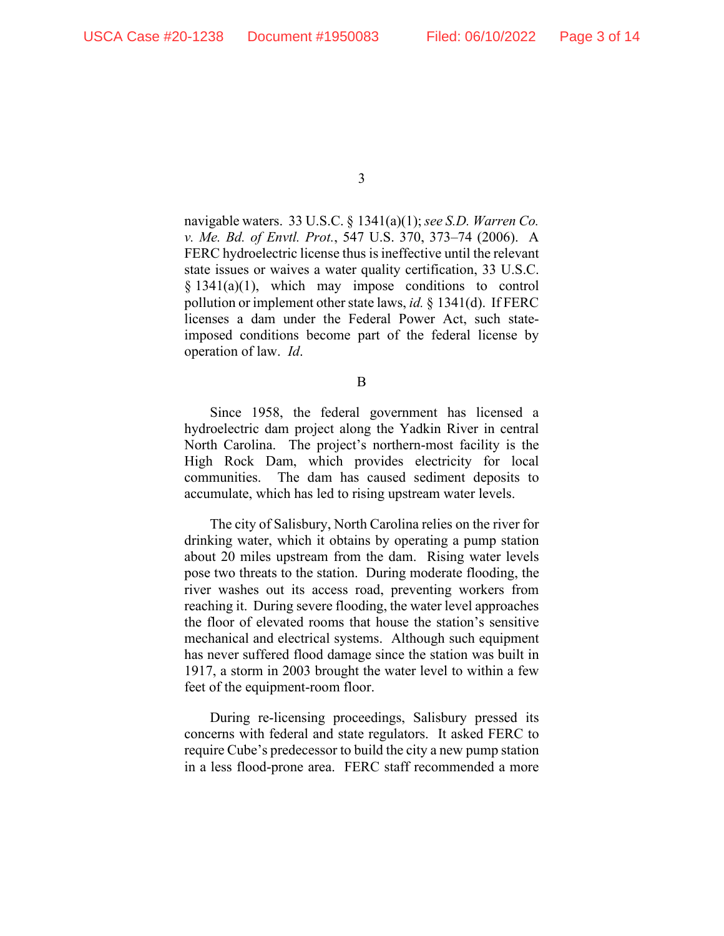navigable waters. 33 U.S.C. § 1341(a)(1); *see S.D. Warren Co. v. Me. Bd. of Envtl. Prot.*, 547 U.S. 370, 373–74 (2006). A FERC hydroelectric license thus is ineffective until the relevant state issues or waives a water quality certification, 33 U.S.C. § 1341(a)(1), which may impose conditions to control pollution or implement other state laws, *id.* § 1341(d). If FERC licenses a dam under the Federal Power Act, such stateimposed conditions become part of the federal license by operation of law. *Id*.

B

Since 1958, the federal government has licensed a hydroelectric dam project along the Yadkin River in central North Carolina. The project's northern-most facility is the High Rock Dam, which provides electricity for local communities. The dam has caused sediment deposits to accumulate, which has led to rising upstream water levels.

The city of Salisbury, North Carolina relies on the river for drinking water, which it obtains by operating a pump station about 20 miles upstream from the dam. Rising water levels pose two threats to the station. During moderate flooding, the river washes out its access road, preventing workers from reaching it. During severe flooding, the water level approaches the floor of elevated rooms that house the station's sensitive mechanical and electrical systems. Although such equipment has never suffered flood damage since the station was built in 1917, a storm in 2003 brought the water level to within a few feet of the equipment-room floor.

During re-licensing proceedings, Salisbury pressed its concerns with federal and state regulators. It asked FERC to require Cube's predecessor to build the city a new pump station in a less flood-prone area. FERC staff recommended a more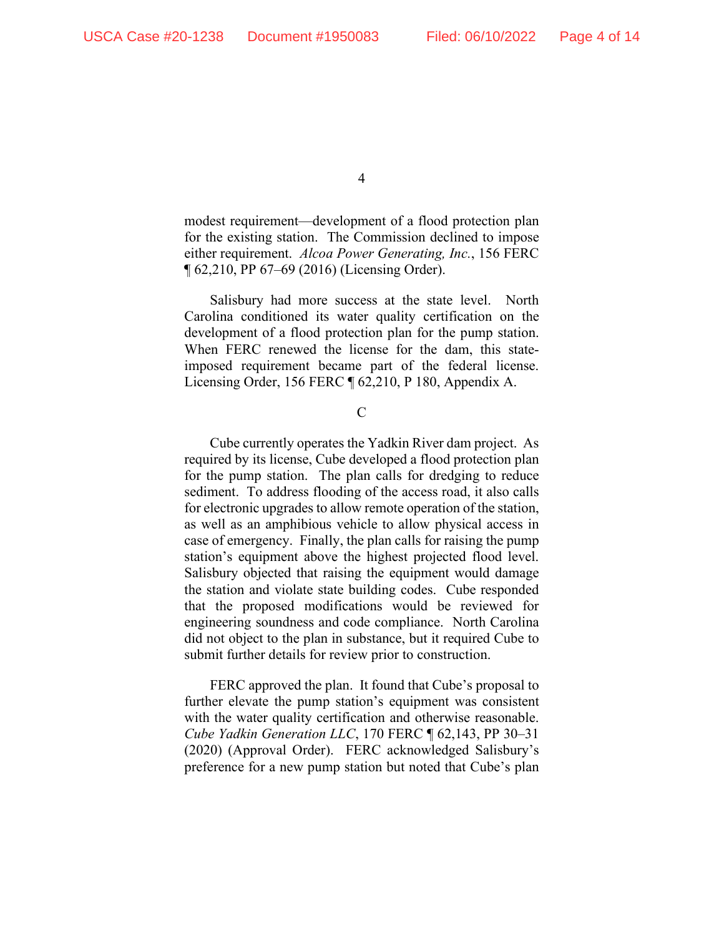modest requirement—development of a flood protection plan for the existing station. The Commission declined to impose either requirement. *Alcoa Power Generating, Inc.*, 156 FERC ¶ 62,210, PP 67–69 (2016) (Licensing Order).

Salisbury had more success at the state level. North Carolina conditioned its water quality certification on the development of a flood protection plan for the pump station. When FERC renewed the license for the dam, this stateimposed requirement became part of the federal license. Licensing Order, 156 FERC ¶ 62,210, P 180, Appendix A.

 $\mathcal{C}$ 

Cube currently operates the Yadkin River dam project. As required by its license, Cube developed a flood protection plan for the pump station. The plan calls for dredging to reduce sediment. To address flooding of the access road, it also calls for electronic upgrades to allow remote operation of the station, as well as an amphibious vehicle to allow physical access in case of emergency. Finally, the plan calls for raising the pump station's equipment above the highest projected flood level. Salisbury objected that raising the equipment would damage the station and violate state building codes. Cube responded that the proposed modifications would be reviewed for engineering soundness and code compliance. North Carolina did not object to the plan in substance, but it required Cube to submit further details for review prior to construction.

FERC approved the plan. It found that Cube's proposal to further elevate the pump station's equipment was consistent with the water quality certification and otherwise reasonable. *Cube Yadkin Generation LLC*, 170 FERC ¶ 62,143, PP 30–31 (2020) (Approval Order). FERC acknowledged Salisbury's preference for a new pump station but noted that Cube's plan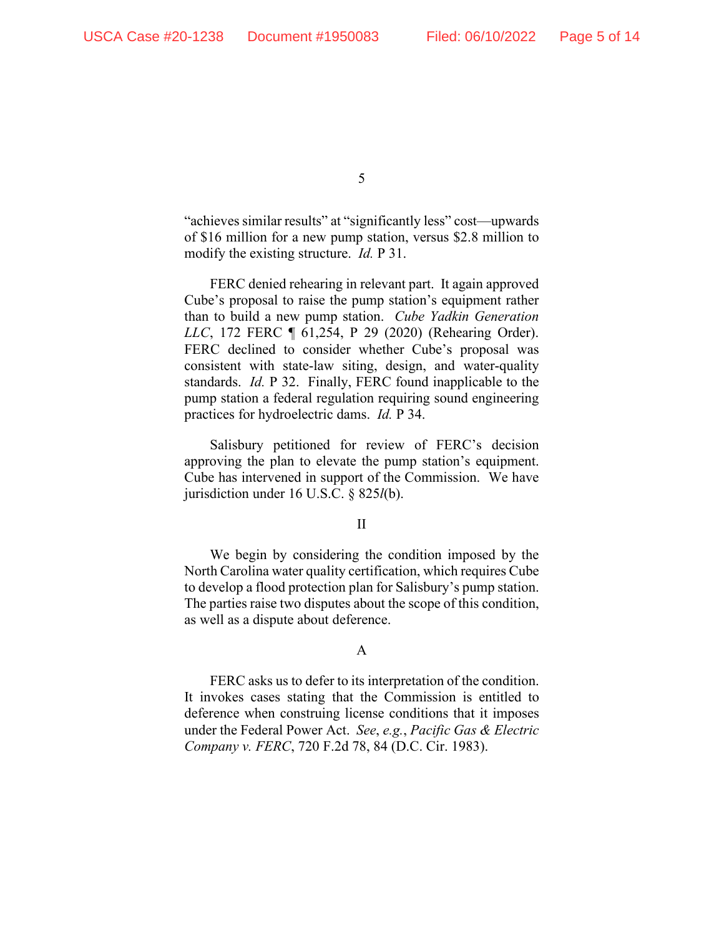"achieves similar results" at "significantly less" cost—upwards of \$16 million for a new pump station, versus \$2.8 million to modify the existing structure. *Id.* P 31.

FERC denied rehearing in relevant part. It again approved Cube's proposal to raise the pump station's equipment rather than to build a new pump station. *Cube Yadkin Generation LLC*, 172 FERC ¶ 61,254, P 29 (2020) (Rehearing Order). FERC declined to consider whether Cube's proposal was consistent with state-law siting, design, and water-quality standards. *Id.* P 32. Finally, FERC found inapplicable to the pump station a federal regulation requiring sound engineering practices for hydroelectric dams. *Id.* P 34.

Salisbury petitioned for review of FERC's decision approving the plan to elevate the pump station's equipment. Cube has intervened in support of the Commission. We have jurisdiction under 16 U.S.C. § 825*l*(b).

### II

We begin by considering the condition imposed by the North Carolina water quality certification, which requires Cube to develop a flood protection plan for Salisbury's pump station. The parties raise two disputes about the scope of this condition, as well as a dispute about deference.

# A

FERC asks us to defer to its interpretation of the condition. It invokes cases stating that the Commission is entitled to deference when construing license conditions that it imposes under the Federal Power Act. *See*, *e.g.*, *Pacific Gas & Electric Company v. FERC*, 720 F.2d 78, 84 (D.C. Cir. 1983).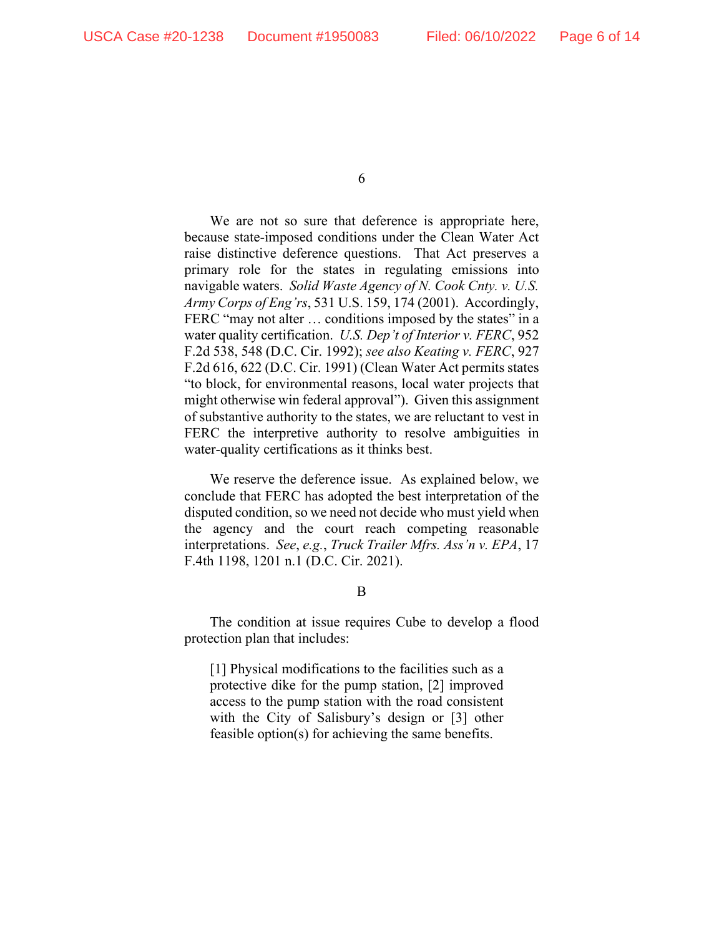We are not so sure that deference is appropriate here, because state-imposed conditions under the Clean Water Act raise distinctive deference questions. That Act preserves a primary role for the states in regulating emissions into navigable waters. *Solid Waste Agency of N. Cook Cnty. v. U.S. Army Corps of Eng'rs*, 531 U.S. 159, 174 (2001). Accordingly, FERC "may not alter ... conditions imposed by the states" in a water quality certification. *U.S. Dep't of Interior v. FERC*, 952 F.2d 538, 548 (D.C. Cir. 1992); *see also Keating v. FERC*, 927 F.2d 616, 622 (D.C. Cir. 1991) (Clean Water Act permits states "to block, for environmental reasons, local water projects that might otherwise win federal approval"). Given this assignment of substantive authority to the states, we are reluctant to vest in FERC the interpretive authority to resolve ambiguities in water-quality certifications as it thinks best.

We reserve the deference issue. As explained below, we conclude that FERC has adopted the best interpretation of the disputed condition, so we need not decide who must yield when the agency and the court reach competing reasonable interpretations. *See*, *e.g.*, *Truck Trailer Mfrs. Ass'n v. EPA*, 17 F.4th 1198, 1201 n.1 (D.C. Cir. 2021).

B

The condition at issue requires Cube to develop a flood protection plan that includes:

[1] Physical modifications to the facilities such as a protective dike for the pump station, [2] improved access to the pump station with the road consistent with the City of Salisbury's design or [3] other feasible option(s) for achieving the same benefits.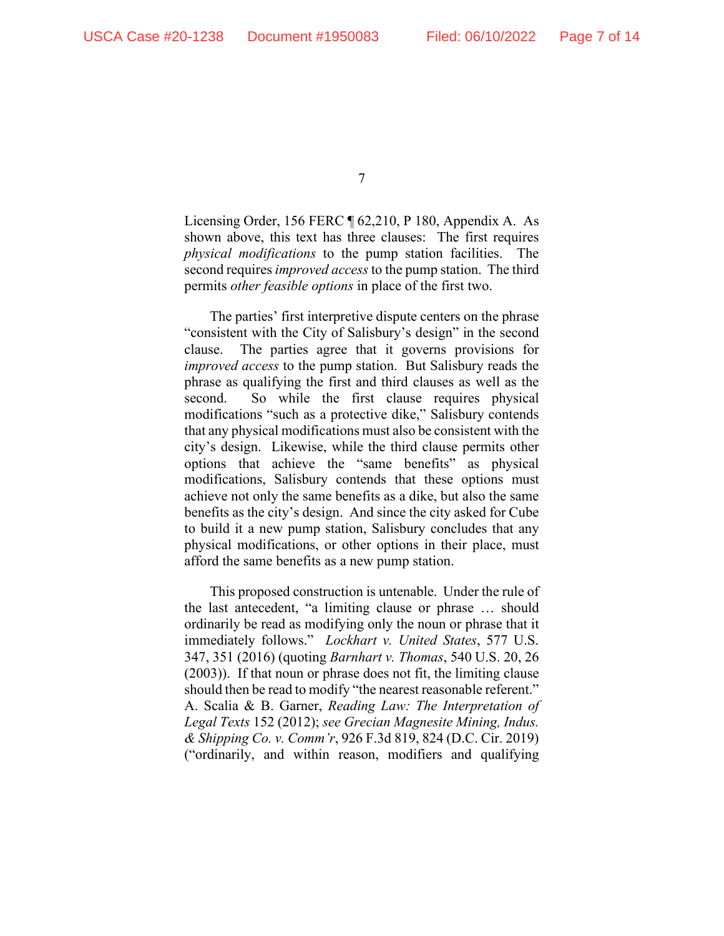Licensing Order, 156 FERC ¶ 62,210, P 180, Appendix A. As shown above, this text has three clauses: The first requires *physical modifications* to the pump station facilities. The second requires *improved access* to the pump station. The third permits *other feasible options* in place of the first two.

The parties' first interpretive dispute centers on the phrase "consistent with the City of Salisbury's design" in the second clause. The parties agree that it governs provisions for *improved access* to the pump station. But Salisbury reads the phrase as qualifying the first and third clauses as well as the second. So while the first clause requires physical modifications "such as a protective dike," Salisbury contends that any physical modifications must also be consistent with the city's design. Likewise, while the third clause permits other options that achieve the "same benefits" as physical modifications, Salisbury contends that these options must achieve not only the same benefits as a dike, but also the same benefits as the city's design. And since the city asked for Cube to build it a new pump station, Salisbury concludes that any physical modifications, or other options in their place, must afford the same benefits as a new pump station.

This proposed construction is untenable. Under the rule of the last antecedent, "a limiting clause or phrase … should ordinarily be read as modifying only the noun or phrase that it immediately follows." *Lockhart v. United States*, 577 U.S. 347, 351 (2016) (quoting *Barnhart v. Thomas*, 540 U.S. 20, 26 (2003)). If that noun or phrase does not fit, the limiting clause should then be read to modify "the nearest reasonable referent." A. Scalia & B. Garner, *Reading Law: The Interpretation of Legal Texts* 152 (2012); *see Grecian Magnesite Mining, Indus. & Shipping Co. v. Comm'r*, 926 F.3d 819, 824 (D.C. Cir. 2019) ("ordinarily, and within reason, modifiers and qualifying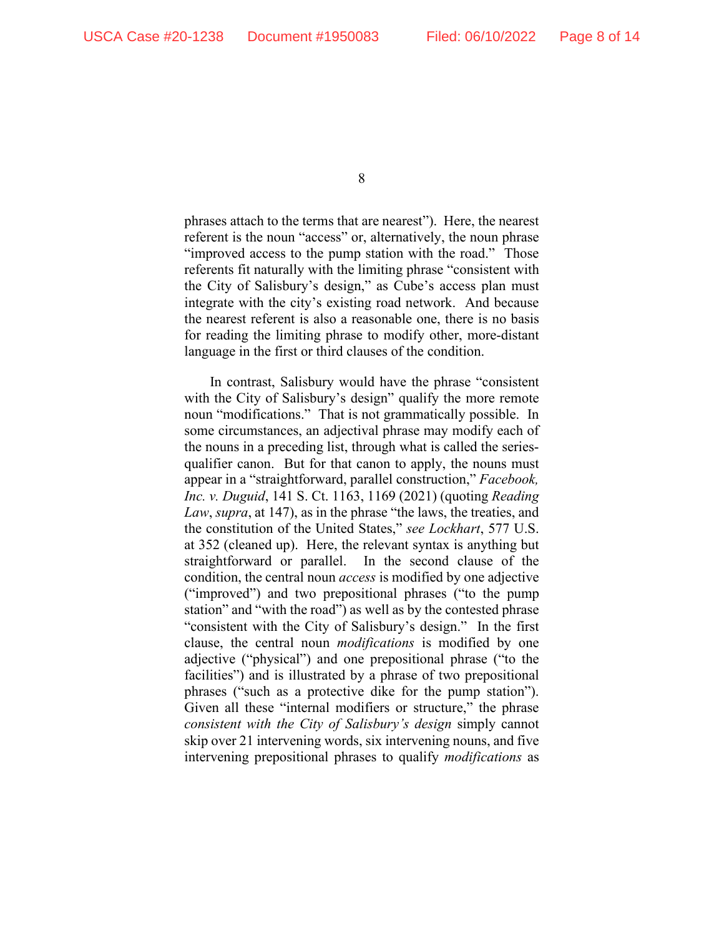phrases attach to the terms that are nearest"). Here, the nearest referent is the noun "access" or, alternatively, the noun phrase "improved access to the pump station with the road." Those referents fit naturally with the limiting phrase "consistent with the City of Salisbury's design," as Cube's access plan must integrate with the city's existing road network. And because the nearest referent is also a reasonable one, there is no basis for reading the limiting phrase to modify other, more-distant language in the first or third clauses of the condition.

In contrast, Salisbury would have the phrase "consistent with the City of Salisbury's design" qualify the more remote noun "modifications." That is not grammatically possible. In some circumstances, an adjectival phrase may modify each of the nouns in a preceding list, through what is called the seriesqualifier canon. But for that canon to apply, the nouns must appear in a "straightforward, parallel construction," *Facebook, Inc. v. Duguid*, 141 S. Ct. 1163, 1169 (2021) (quoting *Reading Law*, *supra*, at 147), as in the phrase "the laws, the treaties, and the constitution of the United States," *see Lockhart*, 577 U.S. at 352 (cleaned up). Here, the relevant syntax is anything but straightforward or parallel. In the second clause of the condition, the central noun *access* is modified by one adjective ("improved") and two prepositional phrases ("to the pump station" and "with the road") as well as by the contested phrase "consistent with the City of Salisbury's design." In the first clause, the central noun *modifications* is modified by one adjective ("physical") and one prepositional phrase ("to the facilities") and is illustrated by a phrase of two prepositional phrases ("such as a protective dike for the pump station"). Given all these "internal modifiers or structure," the phrase *consistent with the City of Salisbury's design* simply cannot skip over 21 intervening words, six intervening nouns, and five intervening prepositional phrases to qualify *modifications* as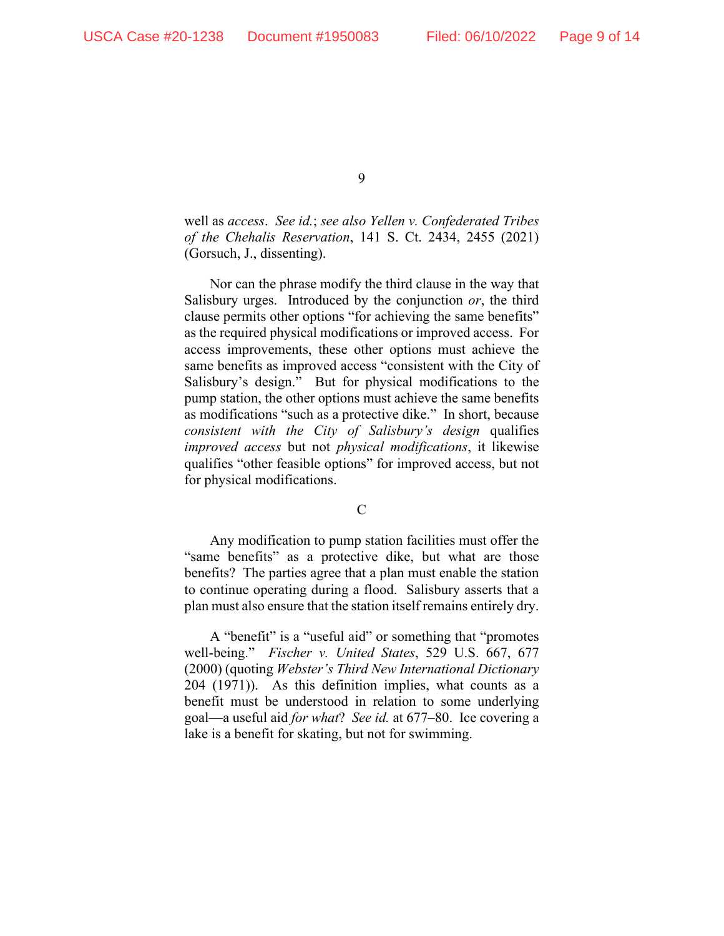well as *access*. *See id.*; *see also Yellen v. Confederated Tribes of the Chehalis Reservation*, 141 S. Ct. 2434, 2455 (2021) (Gorsuch, J., dissenting).

Nor can the phrase modify the third clause in the way that Salisbury urges. Introduced by the conjunction *or*, the third clause permits other options "for achieving the same benefits" as the required physical modifications or improved access. For access improvements, these other options must achieve the same benefits as improved access "consistent with the City of Salisbury's design." But for physical modifications to the pump station, the other options must achieve the same benefits as modifications "such as a protective dike." In short, because *consistent with the City of Salisbury's design* qualifies *improved access* but not *physical modifications*, it likewise qualifies "other feasible options" for improved access, but not for physical modifications.

### C

Any modification to pump station facilities must offer the "same benefits" as a protective dike, but what are those benefits? The parties agree that a plan must enable the station to continue operating during a flood. Salisbury asserts that a plan must also ensure that the station itself remains entirely dry.

A "benefit" is a "useful aid" or something that "promotes well-being." *Fischer v. United States*, 529 U.S. 667, 677 (2000) (quoting *Webster's Third New International Dictionary* 204 (1971)). As this definition implies, what counts as a benefit must be understood in relation to some underlying goal—a useful aid *for what*? *See id.* at 677–80. Ice covering a lake is a benefit for skating, but not for swimming.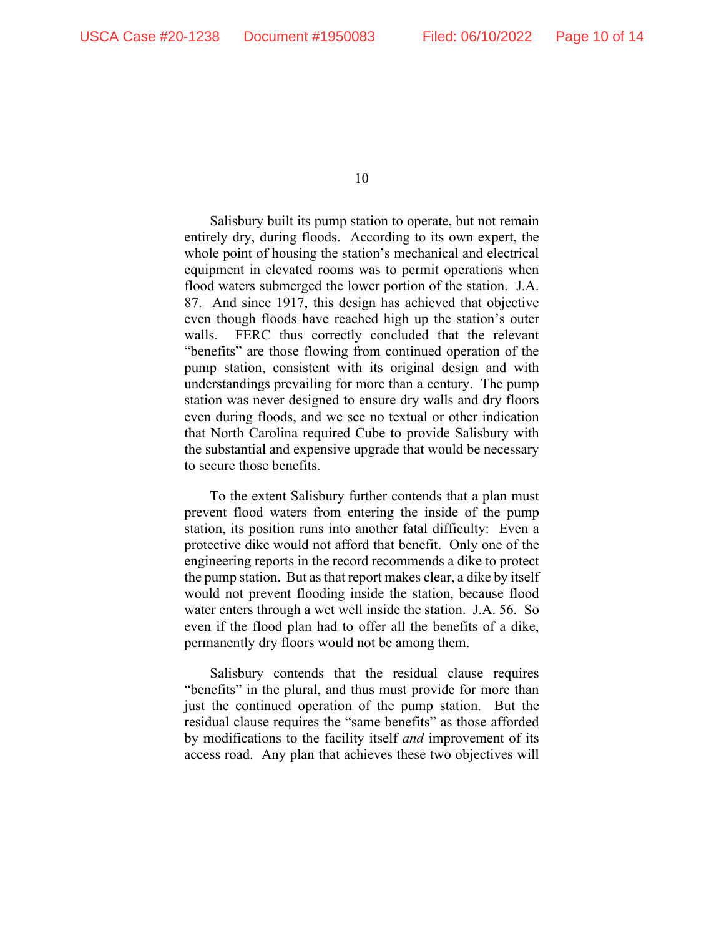Salisbury built its pump station to operate, but not remain entirely dry, during floods. According to its own expert, the whole point of housing the station's mechanical and electrical equipment in elevated rooms was to permit operations when flood waters submerged the lower portion of the station. J.A. 87. And since 1917, this design has achieved that objective even though floods have reached high up the station's outer walls. FERC thus correctly concluded that the relevant "benefits" are those flowing from continued operation of the pump station, consistent with its original design and with understandings prevailing for more than a century. The pump station was never designed to ensure dry walls and dry floors even during floods, and we see no textual or other indication that North Carolina required Cube to provide Salisbury with the substantial and expensive upgrade that would be necessary to secure those benefits.

To the extent Salisbury further contends that a plan must prevent flood waters from entering the inside of the pump station, its position runs into another fatal difficulty: Even a protective dike would not afford that benefit. Only one of the engineering reports in the record recommends a dike to protect the pump station. But as that report makes clear, a dike by itself would not prevent flooding inside the station, because flood water enters through a wet well inside the station. J.A. 56. So even if the flood plan had to offer all the benefits of a dike, permanently dry floors would not be among them.

Salisbury contends that the residual clause requires "benefits" in the plural, and thus must provide for more than just the continued operation of the pump station. But the residual clause requires the "same benefits" as those afforded by modifications to the facility itself *and* improvement of its access road. Any plan that achieves these two objectives will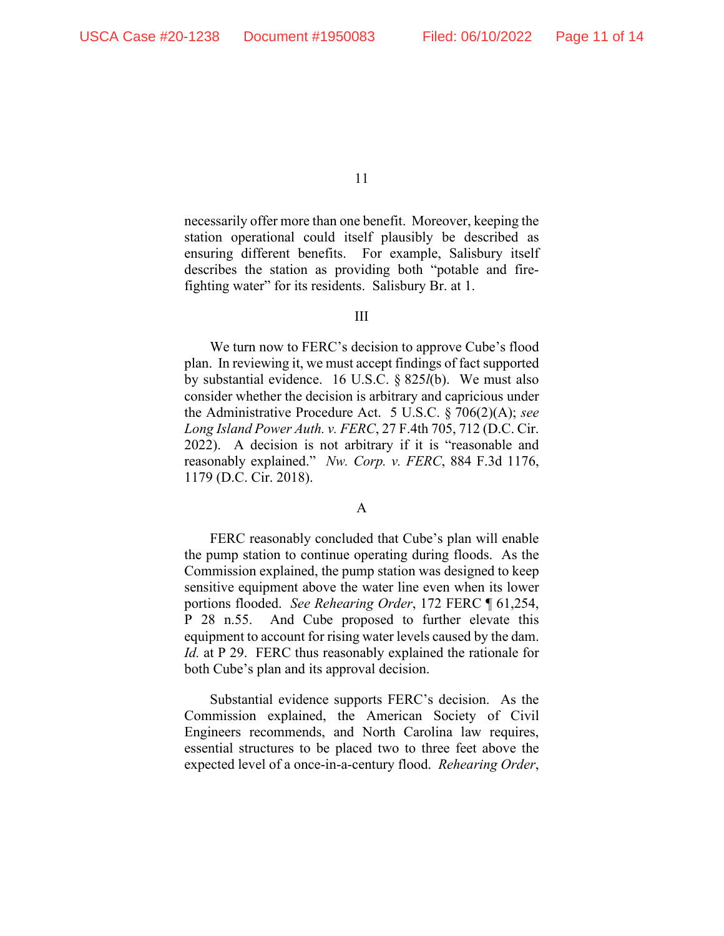necessarily offer more than one benefit. Moreover, keeping the station operational could itself plausibly be described as ensuring different benefits. For example, Salisbury itself describes the station as providing both "potable and firefighting water" for its residents. Salisbury Br. at 1.

#### III

We turn now to FERC's decision to approve Cube's flood plan. In reviewing it, we must accept findings of fact supported by substantial evidence. 16 U.S.C. § 825*l*(b). We must also consider whether the decision is arbitrary and capricious under the Administrative Procedure Act. 5 U.S.C. § 706(2)(A); *see Long Island Power Auth. v. FERC*, 27 F.4th 705, 712 (D.C. Cir. 2022). A decision is not arbitrary if it is "reasonable and reasonably explained." *Nw. Corp. v. FERC*, 884 F.3d 1176, 1179 (D.C. Cir. 2018).

### A

FERC reasonably concluded that Cube's plan will enable the pump station to continue operating during floods. As the Commission explained, the pump station was designed to keep sensitive equipment above the water line even when its lower portions flooded. *See Rehearing Order*, 172 FERC ¶ 61,254, P 28 n.55. And Cube proposed to further elevate this equipment to account for rising water levels caused by the dam. *Id.* at P 29. FERC thus reasonably explained the rationale for both Cube's plan and its approval decision.

Substantial evidence supports FERC's decision. As the Commission explained, the American Society of Civil Engineers recommends, and North Carolina law requires, essential structures to be placed two to three feet above the expected level of a once-in-a-century flood. *Rehearing Order*,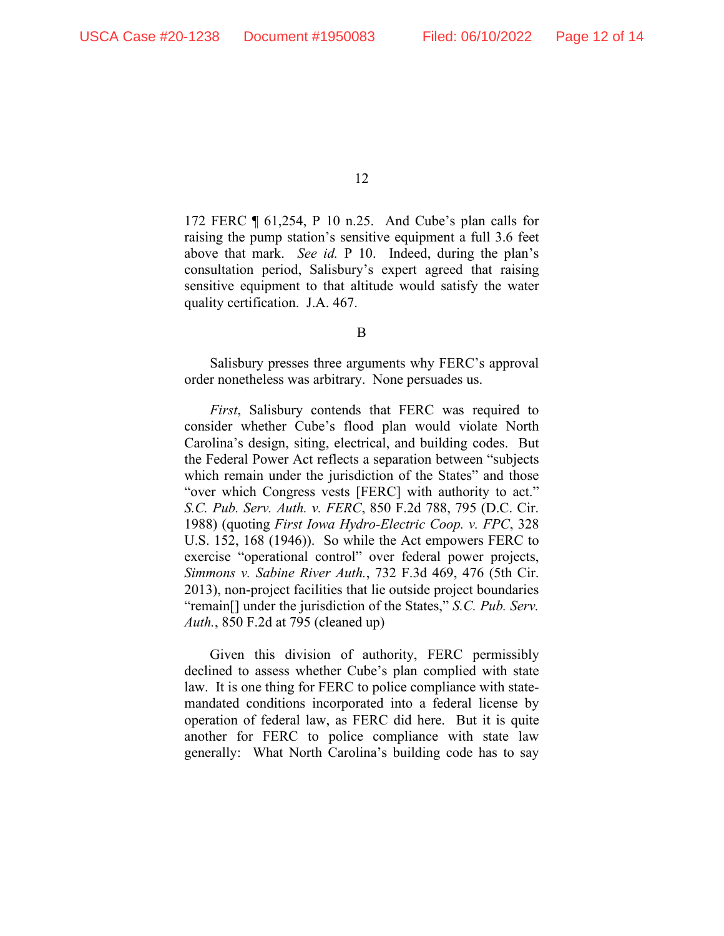172 FERC ¶ 61,254, P 10 n.25. And Cube's plan calls for raising the pump station's sensitive equipment a full 3.6 feet above that mark. *See id.* P 10. Indeed, during the plan's consultation period, Salisbury's expert agreed that raising sensitive equipment to that altitude would satisfy the water quality certification. J.A. 467.

B

Salisbury presses three arguments why FERC's approval order nonetheless was arbitrary. None persuades us.

*First*, Salisbury contends that FERC was required to consider whether Cube's flood plan would violate North Carolina's design, siting, electrical, and building codes. But the Federal Power Act reflects a separation between "subjects which remain under the jurisdiction of the States" and those "over which Congress vests [FERC] with authority to act." *S.C. Pub. Serv. Auth. v. FERC*, 850 F.2d 788, 795 (D.C. Cir. 1988) (quoting *First Iowa Hydro-Electric Coop. v. FPC*, 328 U.S. 152, 168 (1946)). So while the Act empowers FERC to exercise "operational control" over federal power projects, *Simmons v. Sabine River Auth.*, 732 F.3d 469, 476 (5th Cir. 2013), non-project facilities that lie outside project boundaries "remain[] under the jurisdiction of the States," *S.C. Pub. Serv. Auth.*, 850 F.2d at 795 (cleaned up)

Given this division of authority, FERC permissibly declined to assess whether Cube's plan complied with state law. It is one thing for FERC to police compliance with statemandated conditions incorporated into a federal license by operation of federal law, as FERC did here. But it is quite another for FERC to police compliance with state law generally: What North Carolina's building code has to say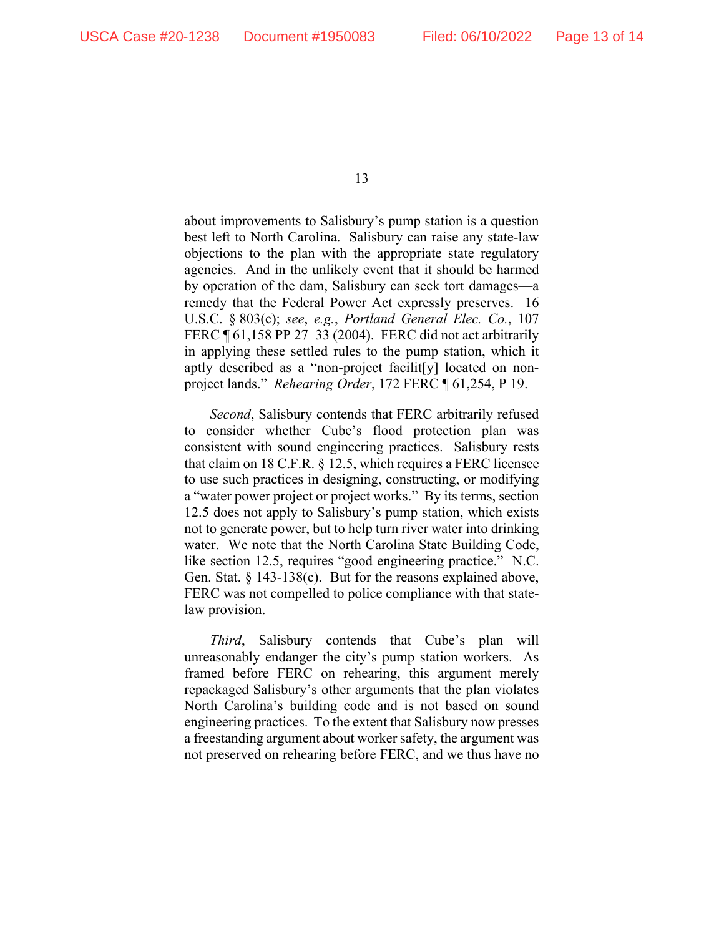about improvements to Salisbury's pump station is a question best left to North Carolina. Salisbury can raise any state-law objections to the plan with the appropriate state regulatory agencies. And in the unlikely event that it should be harmed by operation of the dam, Salisbury can seek tort damages—a remedy that the Federal Power Act expressly preserves. 16 U.S.C. § 803(c); *see*, *e.g.*, *Portland General Elec. Co.*, 107 FERC ¶ 61,158 PP 27–33 (2004). FERC did not act arbitrarily in applying these settled rules to the pump station, which it aptly described as a "non-project facilit[y] located on nonproject lands." *Rehearing Order*, 172 FERC ¶ 61,254, P 19.

*Second*, Salisbury contends that FERC arbitrarily refused to consider whether Cube's flood protection plan was consistent with sound engineering practices. Salisbury rests that claim on 18 C.F.R. § 12.5, which requires a FERC licensee to use such practices in designing, constructing, or modifying a "water power project or project works." By its terms, section 12.5 does not apply to Salisbury's pump station, which exists not to generate power, but to help turn river water into drinking water. We note that the North Carolina State Building Code, like section 12.5, requires "good engineering practice." N.C. Gen. Stat. § 143-138(c). But for the reasons explained above, FERC was not compelled to police compliance with that statelaw provision.

*Third*, Salisbury contends that Cube's plan will unreasonably endanger the city's pump station workers. As framed before FERC on rehearing, this argument merely repackaged Salisbury's other arguments that the plan violates North Carolina's building code and is not based on sound engineering practices. To the extent that Salisbury now presses a freestanding argument about worker safety, the argument was not preserved on rehearing before FERC, and we thus have no